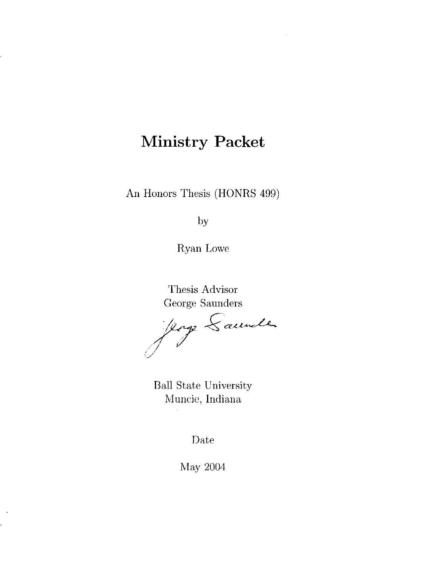## **Ministry Packet**

a in

An Honors Thesis (HONRS 499)

by

Ryan Lowe

Thesis Advisor

George Saunders

Ball State University Muncie, Indiana

Date

May 2004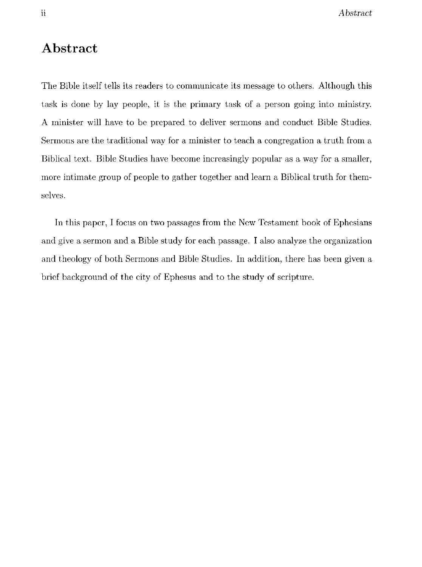<sup>11</sup>*Abstract* 

## **Abstract**

The Bible itself tells its readers to communicate its message to others. Although this task is done by lay people, it is the primary task of a person going into ministry. A minister will have to be prepared to deliver sermons and conduct Bible Studies. Sermons are the traditional way for a minister to teach a congregation a truth from a Biblical text. Bible Studies have become increasingly popular as a way for a smaller, more intimate group of people to gather together and learn a Biblical truth for themselves.

**In** this paper, I focus on two passages from the New Testament book of Ephesians and give a sermon and a Bible study for each passage. I also analyze the organization and theology of both Sermons and Bible Studies. **In** addition, there has been given a brief background of the city of Ephesus and to the study of scripture.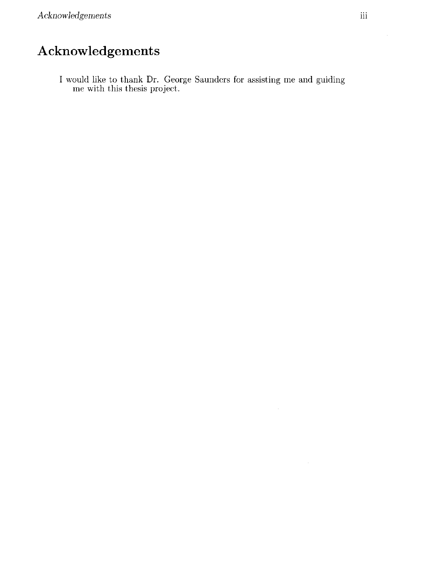## **Acknow ledgements**

I would like to thank Dr. George Saunders for assisting me and guiding me with this thesis project.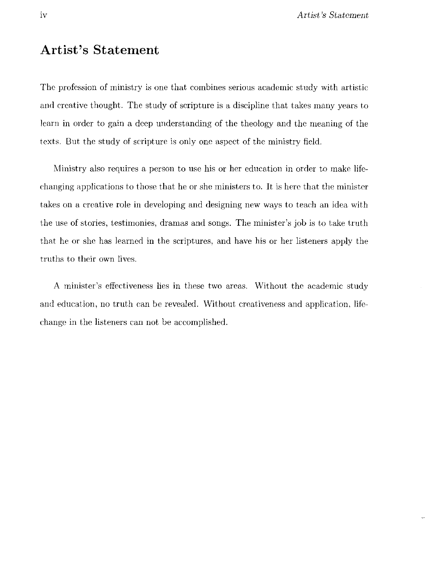IV *Artist's Statement* 

## **Artist's Statement**

The profession of ministry is one that combines serious academic study with artistic and creative thought. The study of scripture is a discipline that takes many years to learn in order to gain a deep understanding of the theology and the meaning of the texts. But the study of scripture is only one aspect of the ministry field.

Ministry also requires a person to use his or her education in order to make lifechanging applications to those that he or she ministers to. It is here that the minister takes on a creative role in developing and designing new ways to teach an idea with the use of stories, testimonies, dramas and songs. The minister's job is to take truth that he or she has learned in the scriptures, and have his or her listeners apply the truths to their own lives.

A minister's effectiveness lies in these two areas. Without the academic study and education, no truth can be revealed. Without creativeness and application, lifechange in the listeners can not be accomplished.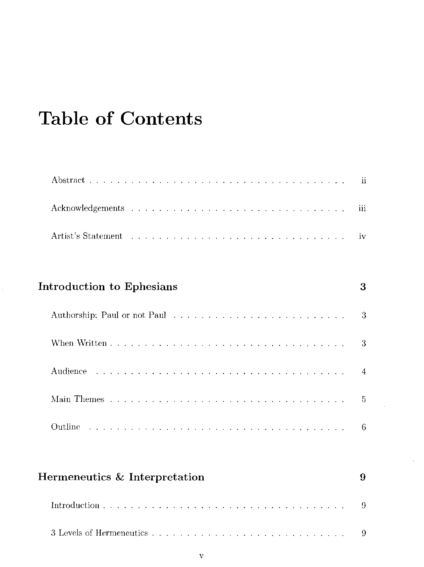# **Table of Contents**

## **Introduction to Ephesians** 3

| Hermeneutics & Interpretation |  |
|-------------------------------|--|
|                               |  |
|                               |  |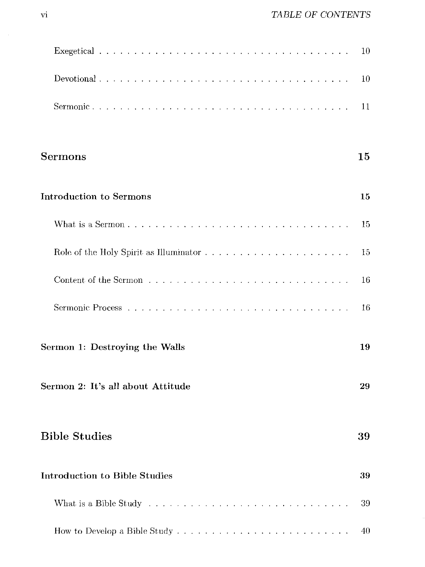|                                      | 10 |
|--------------------------------------|----|
|                                      | 10 |
|                                      | 11 |
| Sermons                              | 15 |
| <b>Introduction to Sermons</b>       | 15 |
|                                      | 15 |
|                                      | 15 |
|                                      | 16 |
|                                      | 16 |
| Sermon 1: Destroying the Walls       | 19 |
| Sermon 2: It's all about Attitude    | 29 |
| <b>Bible Studies</b>                 | 39 |
| <b>Introduction to Bible Studies</b> | 39 |
|                                      | 39 |
|                                      | 40 |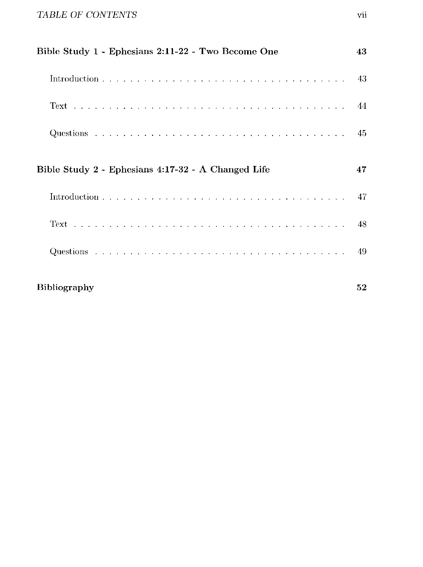| Bible Study 1 - Ephesians 2:11-22 - Two Become One | 43 |
|----------------------------------------------------|----|
|                                                    |    |
|                                                    | 44 |
|                                                    | 45 |
| Bible Study 2 - Ephesians 4:17-32 - A Changed Life | 47 |
|                                                    | 47 |
|                                                    | 48 |
|                                                    | 49 |
| <b>Bibliography</b>                                | 52 |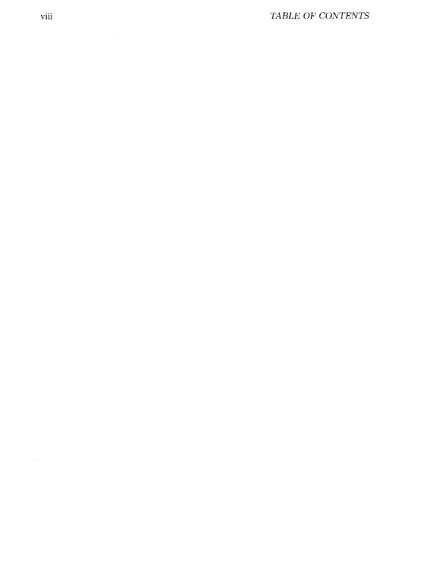$\label{eq:2.1} \frac{1}{\sqrt{2}}\int_{\mathbb{R}^3}\frac{1}{\sqrt{2}}\left(\frac{1}{\sqrt{2}}\right)^2\frac{1}{\sqrt{2}}\left(\frac{1}{\sqrt{2}}\right)^2\frac{1}{\sqrt{2}}\left(\frac{1}{\sqrt{2}}\right)^2\frac{1}{\sqrt{2}}\left(\frac{1}{\sqrt{2}}\right)^2.$ 

 $\mathcal{L}(\mathcal{A})$  and  $\mathcal{L}(\mathcal{A})$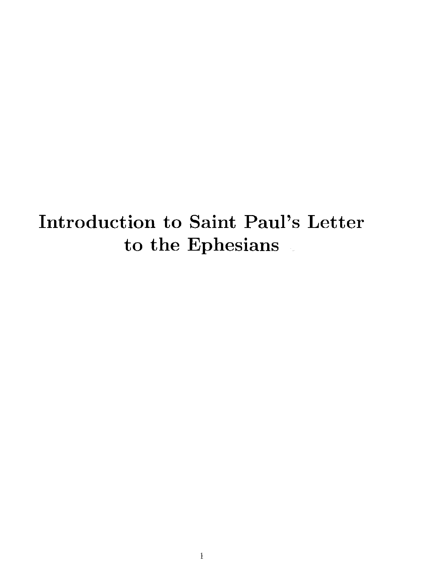# Introduction to Saint Paul's Letter to the Ephesians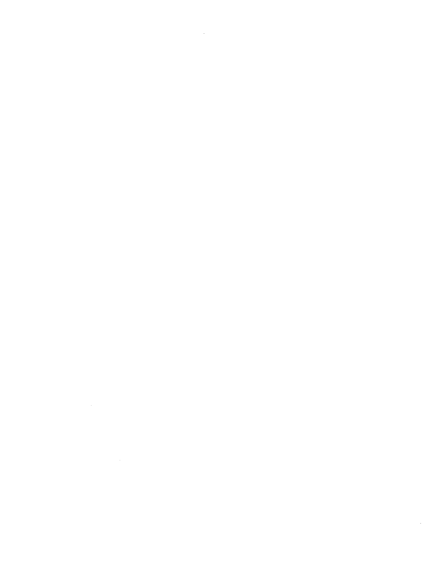$\label{eq:2.1} \mathcal{L}(\mathcal{L}^{\text{max}}_{\mathcal{L}}(\mathcal{L}^{\text{max}}_{\mathcal{L}})) \leq \mathcal{L}(\mathcal{L}^{\text{max}}_{\mathcal{L}}(\mathcal{L}^{\text{max}}_{\mathcal{L}}))$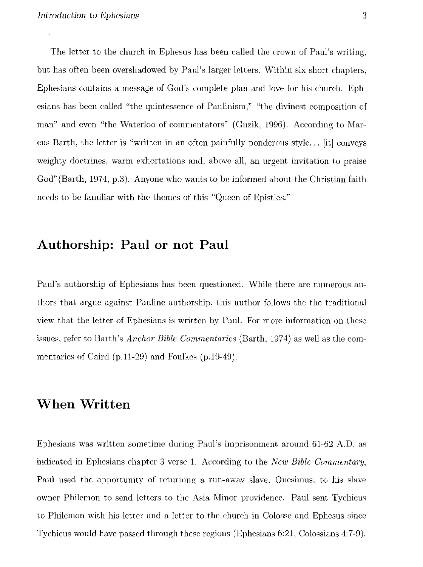The letter to the church in Ephesus has been called the crown of Paul's writing, but has often been overshadowed by Paul's larger letters. Within six short chapters, Ephesians contains a message of God's complete plan and love for his church. Eph~ csians has been called "the quintessence of Paulinism," "the divinest composition of man" and even "the Waterloo of commentators" (Guzik, 1996). According to Marcus Barth, the letter is "written in an often painfully ponderous style ... [it] conveys weighty doctrines, warm exhortations and, above all, an urgent invitation to praise God" (Barth, 1974, p.3). Anyone who wants to be informed about the Christian faith needs to be familiar with the themes of this "Queen of Epistles."

## **Authorship: Paul or not Paul**

Paul's authorship of Ephesians has been questioned. While there are numerous authors that argue against Pauline authorship, this author follows the the traditional view that the letter of Ephesians is written by Paul. For more information on these issues, refer to Barth's *Anchor Bible Commentaries* (Barth, 1974) as well as the commentaries of Caird (p.11-29) and Foulkes (p.19-49).

## **When Written**

Ephesians was written sometime during Paul's imprisonment around 61~62 A.D. as indicated in Ephesians chapter 3 verse l. According to the *New Bible Commentary,*  Paul used the opportunity of returning a run~away slave, Oncsimus, to his slave owner Philemon to send letters to the Asia Minor providence. Paul sent Tychicus to Philemon with his letter and a letter to the church in Colosse and Ephesus since Tychicus would have passed through these regions (Ephesians 6:21, Colossians 4:7~9).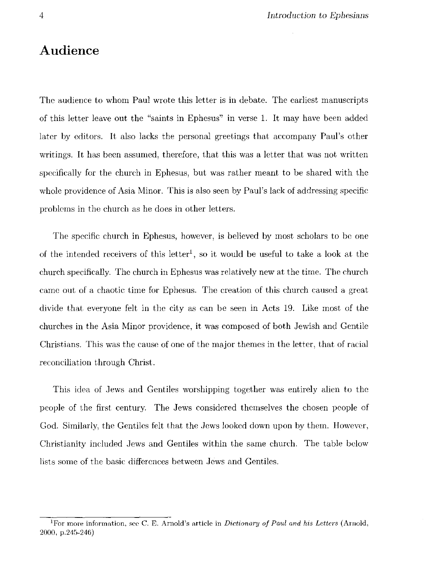## **Audience**

The audience to whom Paul wrote this letter is in debate. The earliest manuscripts of this letter leave out the "saints in Ephesus" in verse 1. It may have been added later by editors. It also lacks the personal greetings that accompany Paul's other writings. It has been assumed, therefore, that this was a letter that was not written specifically for the church in Ephesus, but was rather meant to be shared with the whole providence of Asia Minor. This is also seen by Paul's lack of addressing specific problems in the church as he does in other letters.

The specific church in Ephesus, however, is believed by most scholars to be one of the intended receivers of this letter<sup>1</sup>, so it would be useful to take a look at the church specifically. The church in Ephesus was relatively new at the time. The church camc out of a chaotic time for Ephesus. The creation of this church caused a great divide that everyone felt in the city as can be seen in Acts 19. Like most of the churches in the Asia Minor providence, it was composed of both Jewish and Gentile Christians. This was the cause of one of the major themes in the letter, that of racial reconciliation through Christ.

This idea of Jews and Gentiles worshipping together was eutirely alien to the people of the first century. The Jews considered themselves the chosen people of God. Similarly, the Gentiles felt that the Jews looked down upon by them. However, Christianity included Jews and Gentiles within the same church. The table below lists some of the basic differences between Jews and Gentiles.

<sup>&</sup>lt;sup>1</sup>For more information, see C. E. Arnold's article in *Dictionary of Paul and his Letters* (Arnold, 2000, p.24f)-246)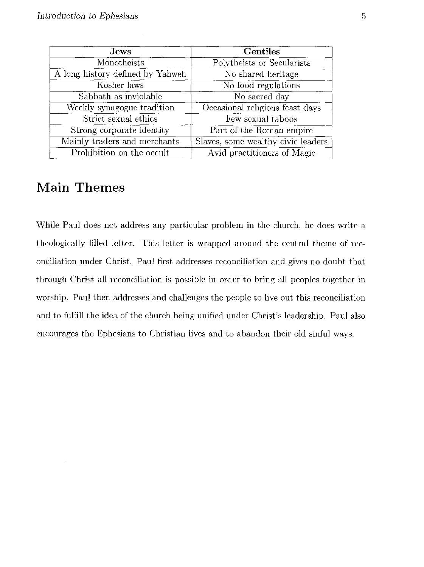| <b>Jews</b>                      | Gentiles                           |
|----------------------------------|------------------------------------|
| Monotheists                      | Polytheists or Secularists         |
| A long history defined by Yahweh | No shared heritage                 |
| Kosher laws                      | No food regulations                |
| Sabbath as inviolable            | No sacred day                      |
| Weekly synagogue tradition       | Occasional religious feast days    |
| Strict sexual ethics             | Few sexual taboos                  |
| Strong corporate identity        | Part of the Roman empire           |
| Mainly traders and merchants     | Slaves, some wealthy civic leaders |
| Prohibition on the occult        | Avid practitioners of Magic        |

## **Main Themes**

While Paul does not address any particular problem in the church, he does write a theologically filled letter. This letter is wrapped around the central theme of reconciliation under Christ. Paul first addresses reconciliation and gives no doubt that t.hrough Christ all reconciliation is possible in order to bring all peoples together in worship. Paul then addresses and challenges the people to live out this reconciliation and to fulfill the idea of the church being unified under Christ's leadership. Paul also encourages the Ephesians to Christian lives and to abandon their old sinful ways.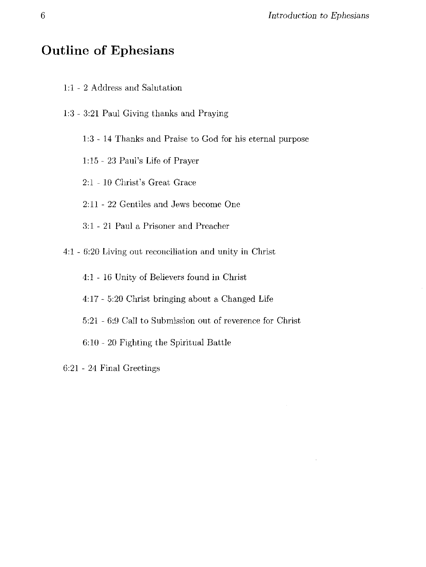## **Outline of Ephesians**

- 1:1 2 Address and Salutation
- 1:3 3:21 Paul Giving thanks and Praying
	- 1:3 14 Thanks and Praise to God for his eternal purpose
	- 1:15 23 Paul's Life of Prayer
	- 2:1 10 Christ's Great Grace
	- 2: 11 22 Gentiles and Jews become One
	- 3: 1 21 Paul a Prisoner and Preacher
- 4:1 6:20 Living out reconciliation and unity in Christ
	- 4:1 16 Unity of Believers found in Christ
	- 4: 17 5:20 Christ bringing about a Changed Life
	- 5:21 6:9 Call to Submission out of reverence for Christ
	- 6:10 20 Fighting the Spiritual Battle
- 6:21 24 Final Greetings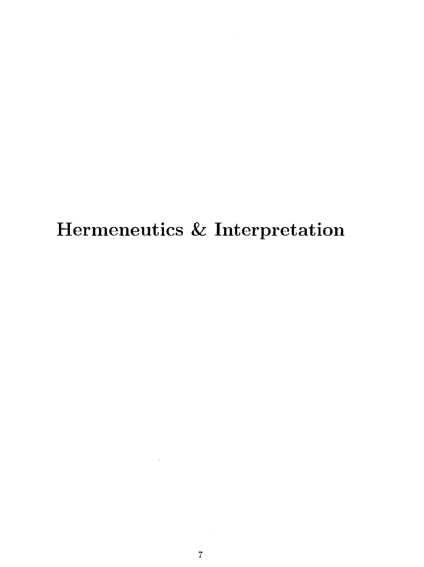# Hermeneutics & Interpretation

 $\sim$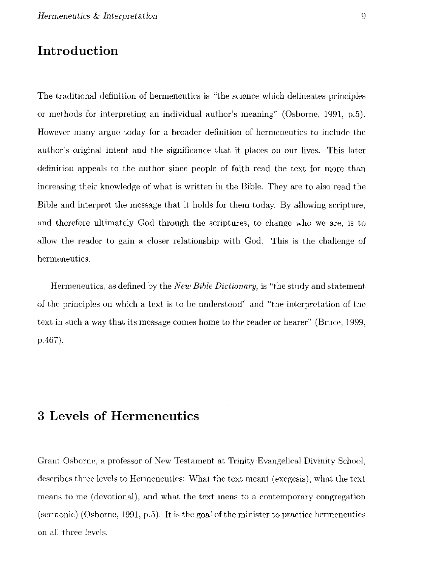## **Introduction**

The traditional definition of hermeneutics is "the science which delineates principles or methods for interpreting an individual author's meaning" (Osborne, 1991, p.5). However many argue today for a broader definition of hermeneutics to include the author's original intent and the significance that it places on our lives. This later definition appeals to the author since people of faith read the text for more than increasing their knowledge of what is written in the Bible. They are to also read the Bible and interpret the message that it holds for them today. By allowing scripture, and therefore ultimately God through the scriptures, to change who we are, is to allow the reader to gain a closer relationship with God. This is the challenge of hermeneutics.

Hermeneutics, as defined by the *New Bible Dictionary,* is "the study and statement of the principles on which a text is to be understood" and "the interpretation of the text in such a way that its message comes home to the rcader or hearer" (Bruce, 1999, p.467).

## 3 **Levels of Hermeneutics**

Grant Osborne, a professor of New Testament at Trinity Evangelical Divinity School, describes three levels to Hermeneutics: What the text meant (exegesis), what the text means to me (devotional), and what the text mens to a contemporary congregation (sermonic) (Osborne, 1991, p.5). It is the goal of the minister to practice hermeneutics on all three levels.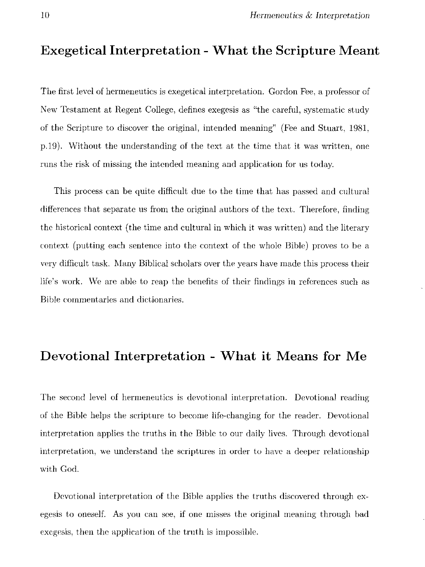## **Exegetical Interpretation - What the Scripture Meant**

The first level of hermeneutics is exegetical interpretation. Gordon Fee, a professor of New Testament at Regent College, defines exegesis as "the careful, systematic study of the Scripture to discover the original, intended meaning" (Fee and Stuart, 1981, p.19). Without the understanding of the text at the time that it was written, one runs the risk of missing the intended meaning and application for us today.

This process can be quite difficult due to the time that has passed and cultural differences that separate us from the original authors of the text. Therefore, finding the historical context (the time and cultural in which it was written) and the literary context (putting each sentence into the context of the whole Bible) proves to be a very difficult task. Many Biblical scholars over the years have made this process their life's work. \Ve arc able to reap the benefits of their findings in references such as Bible commentaries and dictionaries.

### **Devotional Interpretation - What it Means for Me**

The second level of hermeneutics is devotional interpretation. Devotional reading of the Bible helps the scripture to become life-changing for the reader. Devotional interpretation applies the truths in the Bible to our daily lives. Through devotional interpretation, we understand the scriptures in order to have a deeper relationship with God.

Devotional interpretation of the Bible applies the truths discovered through exegesis to oneself. As you can see, if one misses the original meaning through bad exegesis, then the application of the truth is impossible.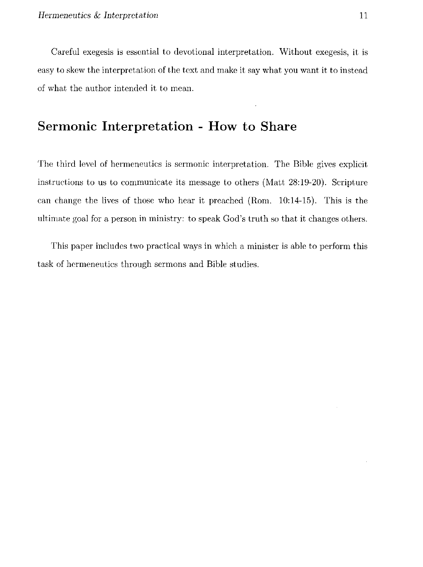Careful exegesis is essential to devotional interpretation. Without exegesis, it is easy to skew the interpretation of the text and make it say what you want it to instead of what the author intended it to mean.

### **Sermonic Interpretation - How to Share**

The third level of hermeneutics is sermonic interpretation. The Bible gives explicit instructions to us to communicate its message to others (Matt  $28:19-20$ ). Scripture can change the lives of those who hear it preached (Rom. 10:14-15). This is the ultimate goal for a person in ministry: to speak God's truth so that it changes others.

This paper includes two practical ways in which a minister is able to perform this task of hermeneutics through sermons and Bible studies.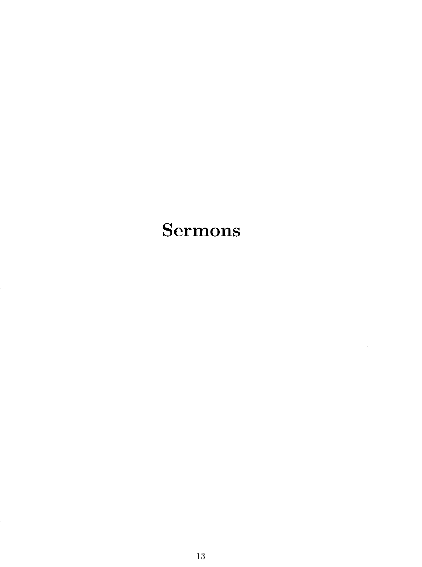# **Sermons**

 $\ddot{\phantom{a}}$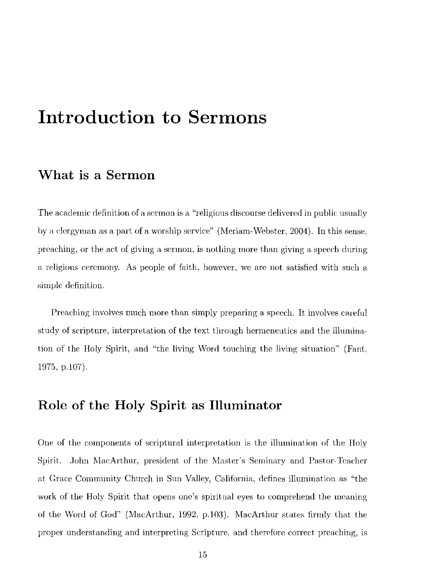## **Introduction to Sermons**

## **What is a Sermon**

The academic definition of a scrmon is a "religious discourse delivered in public usually by a clergyman as a part of a worship service" (Meriam-Webster, 2004). In this sense, preaching, or the act of giving a sermon, is nothing more than giving a speech during a religious ceremony. As people of faith, however, we are not satisfied with such a simple definition.

Preaching involves much more than simply preparing a speech. It involves careful study of scripture, interpretation of the text through hermeneutics and the illumination of the Holy Spirit, and "the living Word touching the living situation" (Fant, 1975, p.107).

## **Role of the Holy Spirit as Illuminator**

One of the components of scriptural interpretation is the illumination of the Holy Spirit. John MacArthur, president of the Master's Seminary and Pastor-Teacher at Grace Community Church in Sun Valley, California, defines illumination as "the work of the Holy Spirit that opens onc's spiritual eyes to comprehend the meaning of the Word of God" (MacArthur, 1992, p.103). MacArthur states firmly that the proper understanding and interpreting Scripture. and therefore correct preaching, is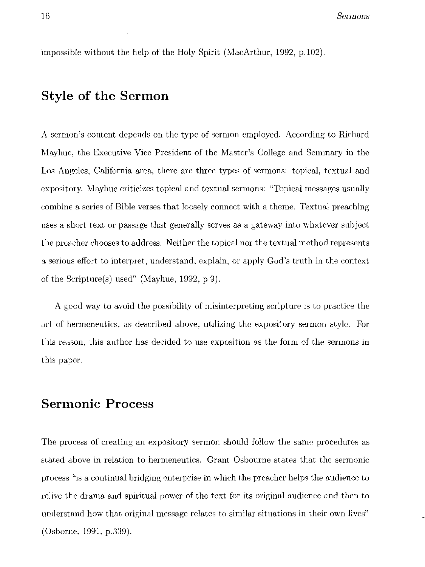impossible without the help of the Holy Spirit (MacArthur, 1992, p.102).

## **Style of the Sermon**

A sermon's content depends on the type of sermon employed. According to Richard Mayhue, the Executive Vice President of the Master's College and Seminary in the Los Angeles, California area, there are three types of sermons: topical, textual and expository. Mayhue criticizes topical and textual sermons: "Topical messages usually combine a series of Bible verses that loosely connect with a theme. Textual preaching uses a short text or passage that generally serves as a gateway into whatever subject the preacher chooses to address. Neither the topical nor the textual method represents a serious effort to interpret, understand, explain, or apply God's truth in the context of the Scripture(s) used" (Mayhue, 1992, p.9).

A good way to avoid the possibility of misinterpreting scripture is to practice the art of hermeneutics, as described above, utilizing the expository sermon style. For this reason, this author has decided to nse exposition as the form of the sermons in this paper.

## **Sermonic Process**

The process of creating an expository sermon should follow the same procedures as stated above in relation to hermeneutics. Grant Osbourne states that the sermonic process "is a continual bridging enterprise in which the preacher helps the audience to relive the drama and spiritual power of the text for its original audience and then to understand how that original message relates to similar situations in their own lives"  $(Osborne, 1991, p.339).$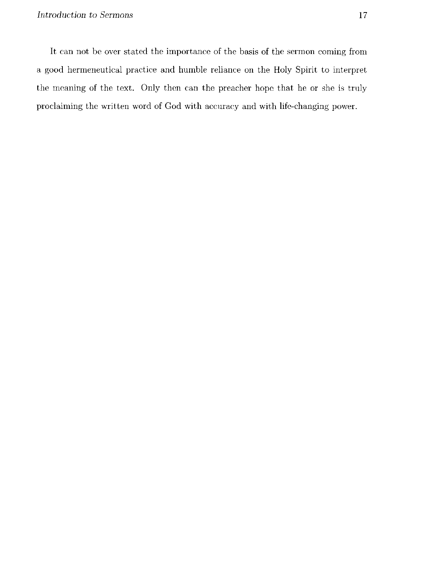It can not be over stated the importance of the basis of the sermon coming from a good hermeneutical practice and humble reliance on the Holy Spirit to interpret the meaning of the text. Only then can the preacher hope that he or she is truly proclaiming the written word of God with accuracy and with life-changing power.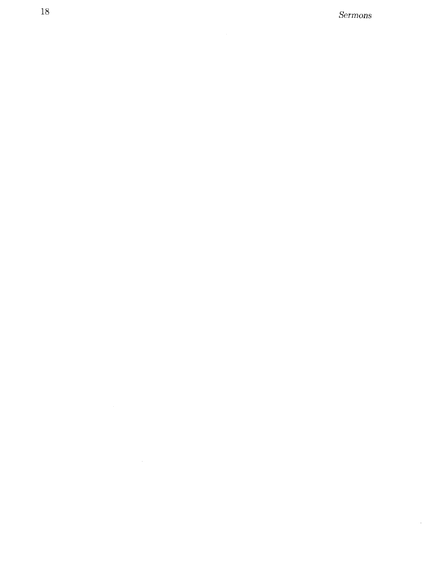$\mathcal{L}^{\text{max}}_{\text{max}}$  and  $\mathcal{L}^{\text{max}}_{\text{max}}$ 

 $\mathcal{L}^{\text{max}}_{\text{max}}$  . The  $\mathcal{L}^{\text{max}}_{\text{max}}$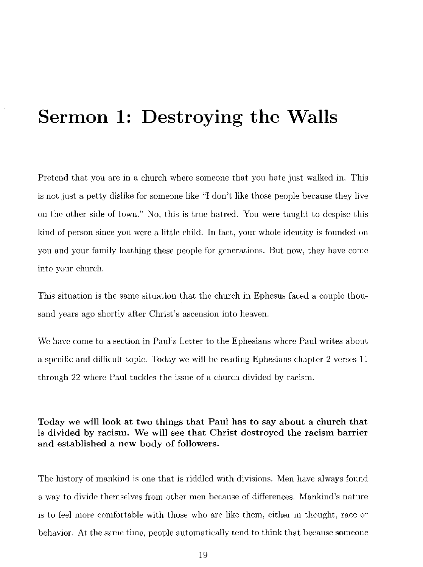## **Sermon 1: Destroying the Walls**

Pretend that you are in a church where someone that you hate just walked in. This is not just a petty dislike for someone like "I don't like those people because they live on the other side of town." No, this is true hatred. You were taught to despise this kind of person since you were a little child. In fact, your whole identity is founded on you and your family loathing these people for generations. But now, they have come into your church.

This situation is the same situation that the church in Ephesus faced a couple thousand years ago shortly after Christ's ascension into heaven.

*\Ne* have *come* to a section in Paul's Letter to the Ephesians where Paul writes about a specific and difficult topic. Today we will be reading Ephesians chapter 2 verses 11 through 22 where Paul tackles the issue of a church divided by racism.

#### Today we will look at two things that Paul has to say about a church that is divided by racism. We will see that Christ destroyed the racism barrier and established a new body of followers.

The history of mankind is one that is riddled with divisions. Men have always found a way to divide themselves from other men because of differences. Mankind's nature is to feel more comfortable with those who arc like them, either in thought, race or behavior. At the same time, people automatically tend to think that because someone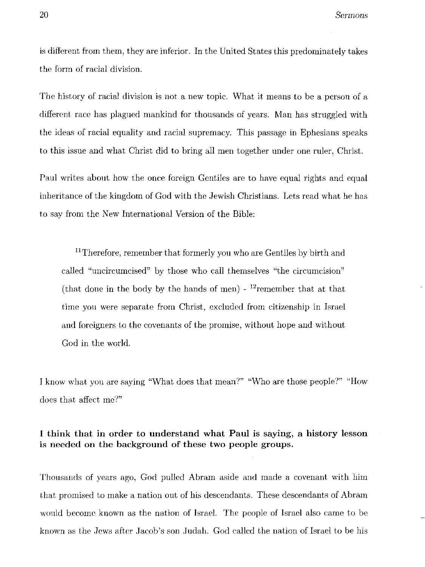is different from them, they are inferior. In the United States this predominately takes the form of racial division.

The history of racial division is not a new topic. What it means to be a person of a different race has plagued mankind for thousands of years. Man has struggled with the ideas of racial equality and racial supremacy. This passage in Ephesians speaks to this issue and what Christ did to bring all men together under one ruler, Christ.

Paul writes about how the once foreign Gentiles are to have equal rights and equal inheritance of the kingdom of God with the Jewish Christians. Lets read what he has to say from the New International Version of the Bible:

<sup>11</sup>Therefore, remember that formerly you who are Gentiles by birth and called "uncircumcised" by those who call themselves "the circumcision" (that done in the body by the hands of men)  $-$  <sup>12</sup>remember that at that time you were separate from Christ, excluded from citizenship in Israel and foreigners to the covenants of the promise, without hope and without God in the world.

I know what you are saying "What does that mean?" "Who are those people?" "How does that affect me?"

#### I think that **in** order to understand what **Paul** is saying, a history lesson is needed on the background of these two people groups.

Thousands of years ago, God pulled Abram aside and made a covenant with him that promised to make a nation out of his descendants. These descendants of Abram would become known as the nation of Israel. The people of Israel also came to be known as the Jews after Jacob's son Judah. God called the nation of Israel to be his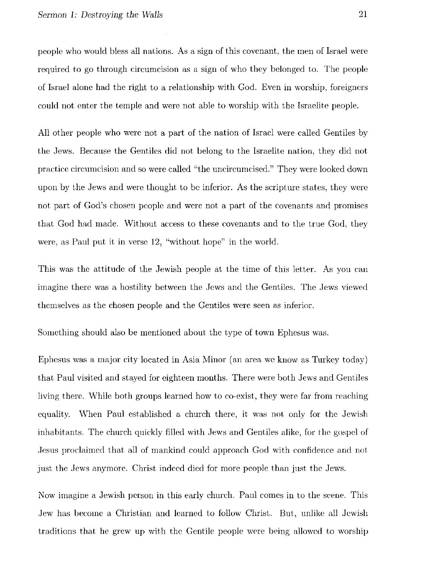people who would bless all nations. As a sign of this covenant, the men of Israel were required to go through circumcision as a sign of who they belonged to. The people of Israel alone had the right to a relationship with God. Even in worship, foreigners could not enter the temple and were not able to worship with the Israelite people.

All other people who were not a part of the nation of Israel were called Gentiles by the Jews. Because the Gentiles did not belong to the Israelite nation, they did not practice circumcision and so were called "the uncircumcised." They were looked down upon by the Jews and were thought to be inferior. As the scripture states, they were not part of God's chosen people and were not a part of the covenants and promises that God had made. Without access to these covenants and to the true God, they were, as Paul put it in verse 12, "without hope" in the world.

This was the attitude of the Jewish people at the time of this letter. As you can imagine there was a hostility between the Jews and the Gentiles. The Jews viewed themselves as the chosen people and the Gentiles were seen as inferior.

Something should also be mentioned about the type of town Ephesus was.

Ephesus was a major city located in Asia Minor (an area we know as Turkey today) that Paul visited and stayed for eighteen months. There were both Jews and Gentiles living there. While both groups learned how to co-exist, they were far from reaching equality. When Paul established a church there, it was not only for the Jewish inhabitants. The church quickly filled with Jews and Gentiles alike, for the gospel of Jesus proclaimed that all of mankind could approach God with confidence and not just the Jews anymore. Christ indeed died for more people than just the Jews.

Now imagine a Jewish person in this early church. Paul comes in to the scene. This Jew has become a Christian and learned to follow Christ. But, unlike all Jewish traditions that he grew up with the Gentile people were being allowed to worship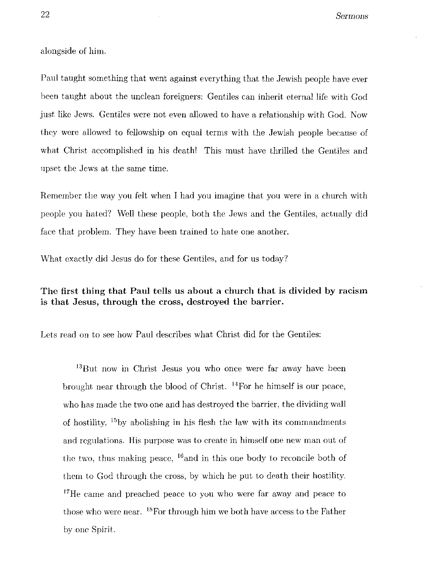22 *Sermons* 

alongside of him.

Paul taught something that went against everything that the Jewish people have ever been taught about the unclean foreigners: Gentiles can inherit cternallife with God just like Jews. Gentiles were not even allowed to have a relationship with God. Now they were allowed to fellowship on equal terms with the Jewish people because of what Christ accomplished in his death! This must have thrilled the Gentiles and upset the Jews at the same time.

Remember the way you felt when I had you imagine that you were in a church with people you hated? Well these people, both the Jews and the Gentiles, actually did face that problem. They have been trained to hate one another.

What exactly did Jesus do for these Gentiles, and for us today?

#### The first thing that Paul tells us about a church that is divided by racism is that Jesus, through the cross, destroyed the barrier.

Lets read on to see how Paul describes what Christ did for the Gentiles:

 $^{13}$ But now in Christ Jesus you who once were far away have been brought near through the blood of Christ. 14For he himself is our peace, who has made the two one and has destroyed the barrier, the dividing wall of hostility,  $15$  by abolishing in his flesh the law with its commandments and regulations. His purpose was to create in himself one new man out of the two, thus making peace,  $^{16}$  and in this one body to reconcile both of them to God through the cross, by which he put to death their hostility. <sup>17</sup>He came and preached peace to you who were far away and peace to those who werc near. 18For through him we both have access to the Father by one Spirit.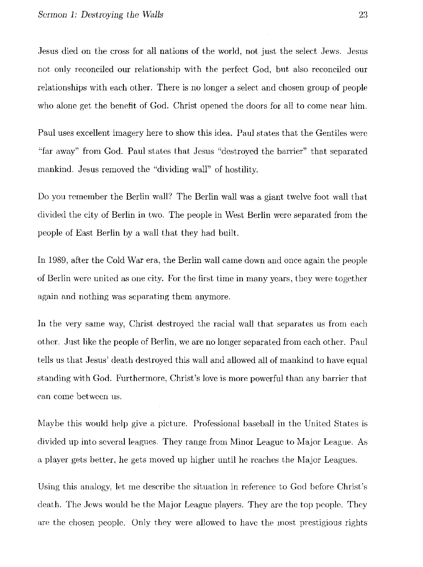Jesus died on the cross for all nations of the world, not just the select Jews. Jesus not only reconciled our relationship with the perfect God, but also reconciled our relationships with each other. There is no longer a select and chosen group of people who alone get the benefit of God. Christ opened the doors for all to come near him.

Paul uses excellent imagery here to show this idea. Paul states that the Gentiles were "far away" from God. Paul states that Jesus "destroyed the barrier" that separated mankind. Jesus removed the "dividing wall" of hostility.

Do you remember the Berlin wall? The Berlin wall was a giant twelve foot wall that divided the city of Berlin in two. The people in West Berlin were separated from the people of East Berlin by a wall that they had built.

In 1989, after the Cold War era, the Berlin wall came down and once again the people of Berlin were united as one city. For the first time in many years, they were together again and nothing was separating them anymore.

In the very same way, Christ destroyed the racial wall that separates us from each other. Just like the people of Berlin, we are no longer separated from each other. Paul tells us that Jesus' death destroyed this wall and allowed all of mankind to have equal standing with God. Furthermore, Christ's love is more powerful than any barrier that can come between us.

Maybe this would help give a picture. Professional baseball in the United States is divided up into several leagues. They range from Minor League to Major League. As a player gets better, he gets moved up higher until he reaches the Major Leagues.

Using this analogy, let me describe the situation in reference to God before Christ's death. The Jews would be the Major League players. They are the top people. They are the chosen people. Only they were allowed to have the most prestigious rights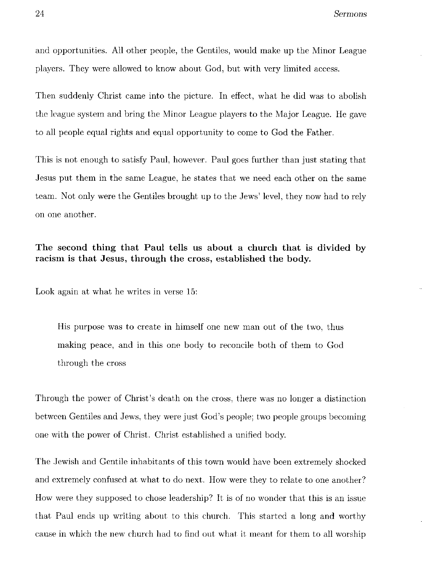and opportunities. All other people, the Gentiles, would make up the Minor League players. They were allowed to know about God, but with very limited access.

Then suddenly Christ came into the picture. In effect, what he did was to abolish the league system and bring the Minor League players to the Major League. He gave to all people equal rights and equal opportunity to come to God the Father.

This is not enough to satisfy Paul, however. Paul goes further than just stating that Jesus put them in the same League, he states that we need each other on the same team. Not only were the Gentiles brought up to the Jews' level, they now had to rely on one another.

#### The second thing that Paul tells us about a church that is divided by racism is that Jesus, through the cross, established the body.

Look again at what he writes in verse  $15$ :

His purpose was to create in himself one new man out of the two, thus making peace, and in this one body to reconcile both of them to God through the cross

Through the power of Christ's death on the cross, there was no longer a distinction between Gentiles and Jews, they were just God's people; two people groups becoming one with the power of Christ. Christ established a unified body.

The Jewish and Gentile inhabitants of this town would have been extremely shocked and extremely confused at what to do next. How were they to relate to one another? How were they supposed to chose leadership? It is of no wonder that this is an issue that Paul ends up writing about to this church. This started a long and worthy cause in which the new church had to find out what it meant for them to all worship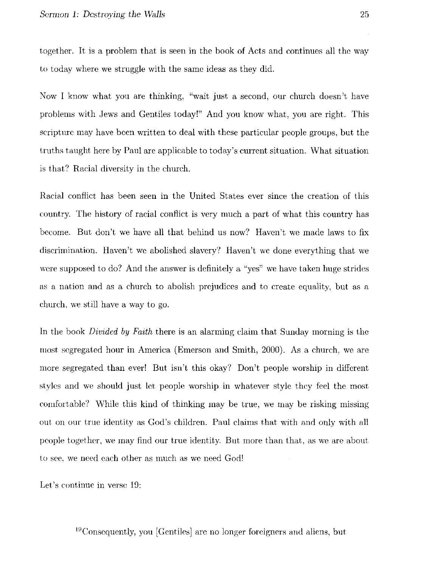together. It is a problem that is seen in the hook of Acts and continues all the way to today where we struggle with the same ideas as they did.

Now I know what you are thinking, "wait just a second, our church doesn't have problems with Jews and Gentiles today!" And you know what, you are right. This scripture may have been written to deal with these particular people groups, but the truths taught here by Paul are applicable to today's current situation. What situation is that? Racial diversity in the church.

Racial conflict has been seen in the United States ever since the creation of this country. The history of racial conflict is very much a part of what this country has become. But don't we have all that behind us now? Haven't we made laws to fix discrimination. Haven't we abolished slavery? Haven't *we* done everything that we were supposed to do? And the answer is definitely a "yes" we have taken huge strides as a nation and as a church to abolish prejudices and to create equality, but as a church, we still have a way to go.

In the book *Divided by Faith* there is an alarming claim that Sunday morning is the most segregated hour in America (Emerson and Smith, 2000). As a church, we are more segregated than ever! But isn't this okay? Don't people worship in different styles and we should just let people worship in whatever style they feel the most comfortable? While this kind of thinking may be true, we may be risking missing out on our true identity as God's children. Paul claims that with and only with all people together, we may find our true identity. But more than that, as we arc about to sec. we need each other as much as we need God!

Let's continue in verse 19:

19Consequently, you [Gentiles] are no longer foreigners and aliens, but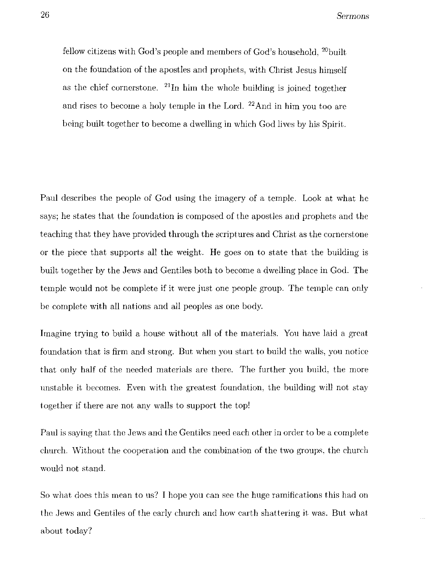26 *Sermons* 

fellow citizens with God's people and members of God's household, 20 built on the foundation of the apostles and prophets, with Christ Jesus himself as the chief cornerstone.  $^{21}$ In him the whole building is joined together and rises to become a holy temple in the Lord. 22 And in him you too are being built together to become a dwelling in which God lives by his Spirit.

Paul describes the people of God using the imagery of a temple. Look at what he says; he states that the foundation is composed of the apostles and prophets and the teaching that they have provided through the scriptures and Christ as the cornerstone or the piece that supports all the weight. He goes on to state that the building is built together by the Jews and Gentiles both to become a dwelling place in God. The temple would not be complete if it were just one people group. The temple can only be complete with all nations and all peoples as one body.

Imagine trying to build a house without all of the materials. You have laid a great foundation that is firm and strong. But. when you start to build the walls, you notice that only half of the needed materials are there. The further you build, the more unstable it becomes. Even with the greatest foundation, the building will not stay together if there are not any walls to support the top!

Paul is saying that the Jews and the Gentiles need each other in order to be a complete church. Without the cooperation and the combination of the two groups, the church would not stand.

So what does this mean to us? I hope you can see the huge ramifications this had on the Jews and Gentiles of the early church and how earth shattering it was. But what about today?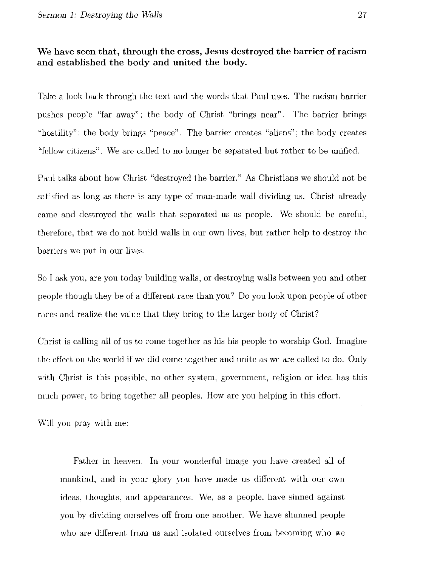#### We have seen that, through the cross, Jesus destroyed the barrier of racism and established the body and united the body.

Take a look back through the text and the words that Paul uses. The racism barrier pushes people "far away"; the body of Christ "brings near". The barrier brings "hostility"; the body brings "peace". The barrier creates "aliens"; the body creates "fellow citizens". vVe arc called to no longer be separated but rather to be unified.

Paul talks about how Christ "destroyed the barrier." As Christians we should not be satisfied as long as there is any type of man-made wall dividing us. Christ already came and destroyed the walls that separated us as people. We should be careful, therefore, that we do not build walls in our own lives, but rather help to destroy the barriers we put in our lives.

So I ask you, are you today building walls, or destroying walls between you and other people though they be of a different race than you? Do you look upon people of other races and realize the value that they bring to the larger body of Christ?

Christ is calling all of us to come together as his his people to worship God. Imagine the effect on the world if we did come together and unite as we are called to do. Only with Christ is this possible, no other system, government, religion or idea has this much power, to bring together all peoples. How arc you helping in this effort.

Will you pray with me:

Father in heaven. In your wonderful image you have created all of mankind, and in your glory you have made us different with our own ideas, thoughts, and appearances. We, as a people, have sinned against you by dividing ourselves off from one another. We have shunned people who are different from us and isolated ourselves from becoming who we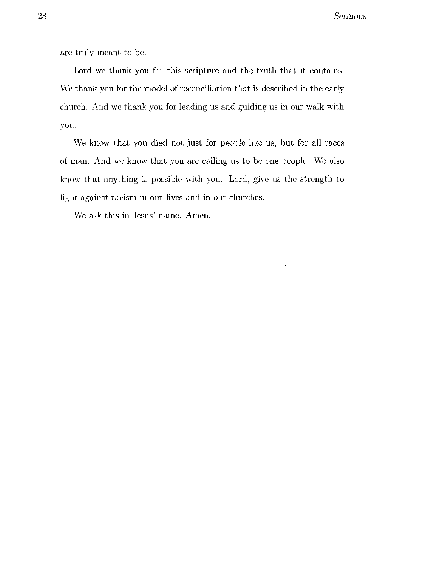28 *Sermons* 

are truly meant to be.

Lord we thank you for this scripture and the truth that it contains. We thank you for the model of reconciliation that is described in the carly church. And we thank you for leading us and guiding us in our walk with you.

We know that you died not just for people like us, but for all races of man. And we know that you are calling us to be one people. We also know that anything is possible with you. Lord, give us the strength to fight against racism in our lives and in our churches.

 $\epsilon$ 

We ask this in Jesus' name. Amen.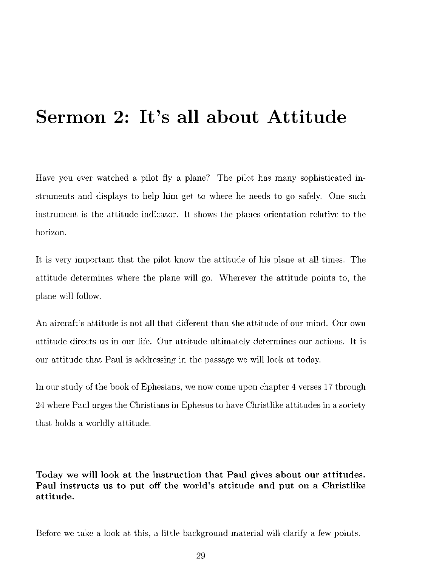## **Sermon 2: It '8 all about Attitude**

Have you ever watched a pilot fly a plane? The pilot has many sophisticated instruments and displays to help him get to where he needs to go safely. One such instrument is the attitude indicator. It shows the planes orientation relative to the horizon.

It is very important that the pilot know the attitude of his plane at all times. The attitude determines where the plane will go. Wherever the attitude points to, the plane will follow.

An aircraft's attitude is not all that different than the attitude of our mind. Our own attitude directs us in our life. Our attitude ultimately determines our actions. It is om attitude that Paul is addressing in the passage we will look at today.

In our study of the book of Ephesians, we now come upon chapter 4 verses 17 through 24 where Paul urges the Christians in Ephesus to have Christlike attitudes in a society that holds a worldly attitude.

Today we will look at the instruction that Paul gives about our attitudes. Paul instructs us to put off the world's attitude and put on a Christlike attitude.

Before we take a look at this, a little background material will clarify a few points.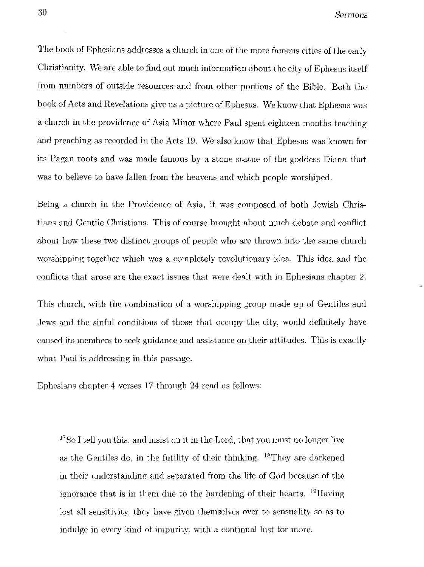30 *Sermons* 

The book of Ephesians addresses a church in one of the more famous cities of the early Christianity. We are able to find out much information about the city of Ephesus itself from numbers of outside resources and from other portions of the Bible. Both the book of Acts and Revelations give us a picture of Ephesus. We know that Ephesus was a church in the providence of Asia Minor where Paul spent eighteen months teaching and preaching as recorded in the Acts 19. We also know that Ephesus was known for its Pagan roots and was made famous by a stone statue of the goddess Diana that was to believe to have fallen from the heavens and which people worshiped.

Being a church in the Providence of Asia, it was composed of both Jewish Christians and Gentile Christians. This of course brought about much debate and conflict about how these two distinct groups of people who arc thrown into the same church worshipping together which was a completely revolutionary idea. This idea and the conflicts that arose are the exact issues that were dealt with in Ephesians chapter 2.

This church, with the combination of a worshipping group made up of Gentiles and Jews and the sinful conditions of those that occupy the city, would definitely have caused its members to seek guidance and assistance on their attitudes. This is exactly what Paul is addressing in this passage.

Ephesians chapter 4 verses 17 through 24 read as follows:

<sup>17</sup>So I tell you this, and insist on it in the Lord, that you must no longer live as the Gentiles do, in the futility of their thinking.  $^{18}$ They are darkened in their understanding and separated from the life of God because of the ignorance that is in them due to the hardening of their hearts.  $^{19}$ Having lost all sensitivity, they have given themselves over to sensuality so as to indulge in every kind of impurity, with a continual lust for more.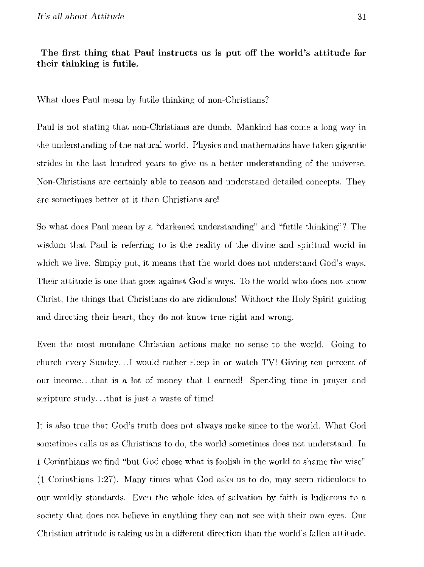#### **The first thing that Paul instructs us is put off the world's attitude for their thinking is futile.**

What does Paul mean by futile thinking of non-Christians?

Paul is not stating that non-Christians are dumb. Mankind has come a long way in the understanding of the natural world. Physics and mathematics have taken gigantic strides in the last hundred years to give us a better understanding of the universe. Non-Christians are certainly able to reason and understand detailed concepts. They are sometimes better at it than Christians are!

So what does Paul mean by a "darkened understanding" and "futile thinking"? The wisdom that Paul is referring to is the reality of the divine and spiritual world in which we live. Simply put, it means that the world does not understand God's ways. Their attitude is one that goes against God's ways. To the world who does not know Christ, the things that Christians do are ridiculous! Without the Holy Spirit guiding and directing their heart, they do not know true right and wrong.

Even the most mundane Christian actions make no sense to the world. Going to church every Sunday .. .I would rather sleep in or watch TV! Giving ten percent of our income ... that is a lot of money that I earned! Spending time in prayer and scripture study ... that is just a waste of time!

It is also true that God's truth does not always make since to the world. vVhat God sometimes calls us as Christians to do, the world sometimes does not understaud. In 1 Corinthians we find "but God chose what is foolish in the world to shame the wise"  $(1$  Corinthians 1:27). Many times what God asks us to do, may seem ridiculous to our worldly standards. Even the whole idea of salvation by faith is ludicrous to a society that does not believe in anything they can not sec with their own eyes. Our Christian attitude is taking us in a different direction than the world's fallen attitude.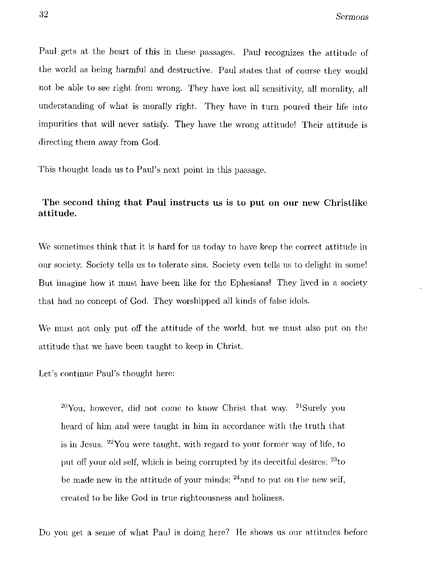32 *Sermons* 

Paul gets at the heart of this in these passages. Paul recognizes the attitude of the world as being harmful and destructive. Paul states that of course they would not be able to see right from wrong. They have lost all sensitivity, all morality, all understanding of what is morally right. They have in turn poured their life into impurities that will never satisfy. They have the wrong attitude! Their attitude is directing them away from God.

This thought leads us to Paul's next point in this passage.

#### The second thing that **Paul** instructs us is to put on our new Christlike attitude.

We sometimes think that it is hard for us today to have keep the correct attitude in our society. Society tells us to tolerate sins. Society even tells us to delight in some! But imagine how it must have been like for the Ephesians! They lived in a society that had no concept of God. They worshipped all kinds of false idols.

We must not only put off the attitude of the world, but we must also put on the attitude that we have been taught to keep in Christ.

Let's continue Paul's thought here:

 $20$ You, however, did not come to know Christ that way.  $21$ Surely you heard of him and were taught in him in accordance with the truth that is in Jesus.  $22$  You were taught, with regard to your former way of life, to put off your old self, which is being corrupted by its deceitful desires: 23to be made new in the attitude of your minds;  $^{24}$  and to put on the new self, created to be like God in true righteousness and holiness.

Do you get a sense of what Paul is doing here? He shows us our attitudes before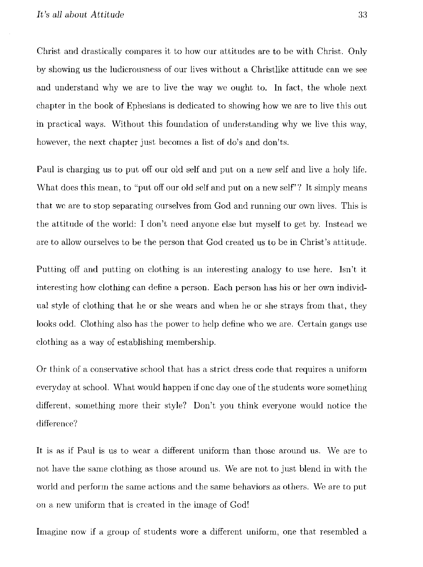Christ and drastically compares it to how our attitudes are to be with Christ. Only by showing us the ludicronsness of our lives without a Christlike attitude can we see and understand why we are to live the way we ought to. In fact, the whole next chapter in the book of Ephesians is dedicated to showing how we are to live this out in practical ways. Without this foundation of understanding why we live this way, however, the next chapter just becomes a list of do's and don'ts.

Paul is charging us to put off our old self and put on a new self and live a holy life. What does this mean, to "put off our old self and put on a new self"? It simply means that we are to stop separating ourselves from God and running our own lives. This is the attitude of the world: I don't need anyone else but myself to get by. Instead we are to allow ourselves to be the person that God created us to be in Christ's attitude.

Putting off and putting on clothing is an interesting analogy to use here. Isn't it interesting how clothing can define a person. Each person has his or her own individual style of clothing that he or she wears and when he or she strays from that, they looks odd. Clothing also has the power to help define who we are. Certain gangs use clothing as a way of establishing membership.

Or think of a conservative school that has a strict dress code that requires a uniform everyday at school. What would happen if one day one of the students wore something different, something more their style? Don't you think everyone would notice the difference?

It is as if Paul is us to wear a different uniform than those around us. We are to not have the same clothing as those around us. We are not to just blend in with the world and perform the same actions and the same behaviors as others. We are to put on a new uniform that is created in the image of God!

Imagine now if a group of students wore a different uniform, one that resembled a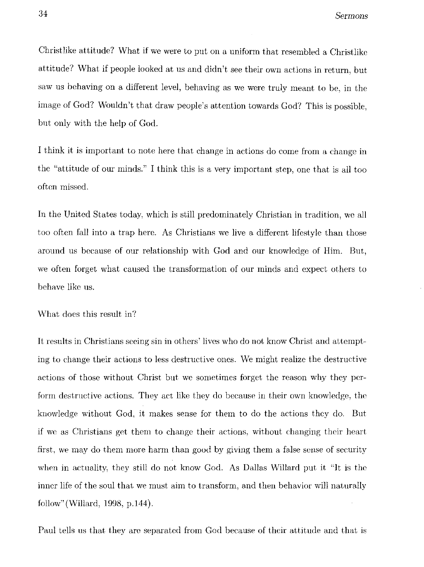34 *Sermons* 

Christlike attitude? What if we were to put on a uniform that resembled a Christlike attitude? What if people looked at us and didn't see their own actions in return, but saw us behaving on a different level, behaving as we were truly meant to be, in the image of God? Wouldn't that draw people's attention towards God? This is possible, but only with the help of God.

I think it is important to note here that change in actions do come from a change in the "attitude of our minds." I think this is a very important step, one that is all too often missed.

In the United States today, which is still predominately Christian in tradition, we all too often fall into a trap here. As Christians we live a different lifestyle than those around us because of our relationship with God and our knowledge of Him. But, we often forget what caused the transformation of our minds and expect others to behave like us.

#### What does this result in?

It results in Christians seeing sin in others' lives who do not know Christ and attempting to change their actions to less destructive ones. We might realize the destructive actions of those without Christ but we sometimes forget the reason why they perform destructive actions. They act like they do because in their own knowledge, the knowledge without God, it makes sense for them to do the actions they do. But if we as Christians get them to change their actions, without changing their heart first, we may do them more harm than good by giving them a false sense of security when in actuality, they still do not know God. As Dallas Willard put it "It is the inner life of the soul that we must aim to transform, and then behavior will naturally follow" (Willard, 1998, p.144).

Paul tells us that they arc separated from God because of their attitude and that is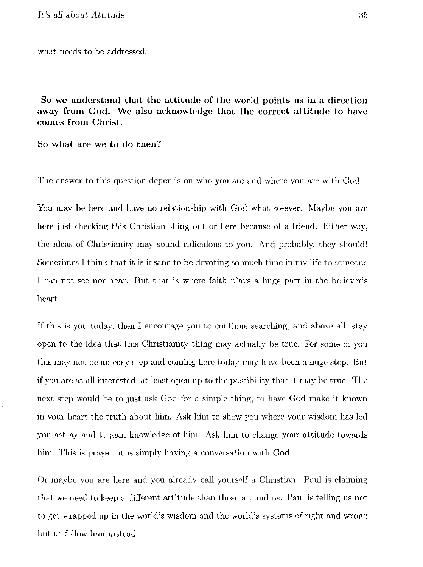*It's all about Attitude* 35

what needs to be addressed.

So we understand that the attitude of the world points us in a direction away from God. We also acknowledge that the correct attitude to have comes from Christ.

So what are we to do then?

The answer to this question depends on who you are and where you are with God.

You may be here and have no relationship with God what-so-ever. Maybe you are here just checking this Christian thing out or here because of a friend. Either way, the ideas of Christianity may sound ridiculous to you. And probably, they should! Sometimes I think that it is insane to be devoting so much time in my life to someone I can not see nor hear. But that is where faith plays a huge part in the believer's heart.

If this is you today, then I encourage you to continue searching, and above all, stay open to the idea that this Christianity thing may actually be true. For some of you this may not be an easy step and coming here today may have been a huge step. But if you are at all interested, at least open up to the possibility that it may be true. The next step would be to just ask God for a simple thing. to have God make it known in your heart the truth about him. Ask him to show you where your wisdom has led you astray and to gain knowledge of him. Ask him to change your attitude towards him. This is prayer, it is simply having a conversation with God.

Or maybe you are here and you already call yourself a Christian. Paul is claiming that we need to keep a different attitude than those aronnd us. Paul is telling us not to get wrapped up in the world's wisdom and the world's systems of right and wrong but to follow him instead.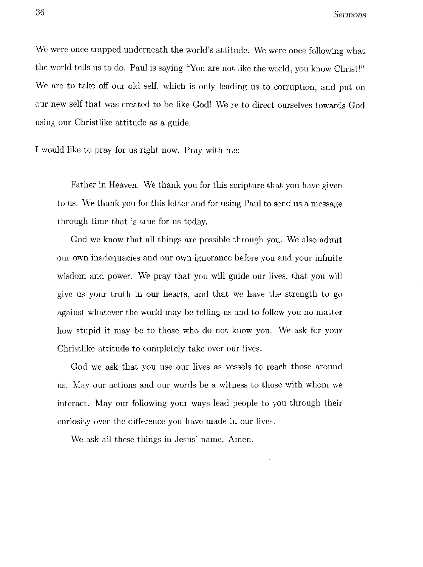36 Sermons

We were once trapped underneath the world's attitude. We were once following what the world tells us to do. Paul is saying "You are not like the world, you know Christ.!" We are to take off our old self, which is only leading us to corruption, and put on our new self that was created to be like God! We re to direct ourselves towards God using our Christlike attitude as a guide.

I would like to pray for us right now. Pray with me:

Father in Heaven. We thank you for this scripture that you have given to us. We thank you for this letter and for using Paul to send us a message through time that is true for us today.

God we know that all things are possible through you. We also admit our own inadequacies and our own ignorance before you and your infinite wisdom and power. We pray that you will guide our lives, that you will give us your truth in our hearts, and that we have the strength to go against whatever the world may be telling us and to follow you no matter how stupid it may be to those who do not know you. We ask for your Christlike attitude to completely take over our lives.

God we ask that you use our lives as vessels to reach those around us. May our actions and our words be a witness to those with whom we interact. May our following your ways lead people to you through their curiosity over the difference you have made in our lives.

*\Ve* ask all these things in Jesus' name. Amen.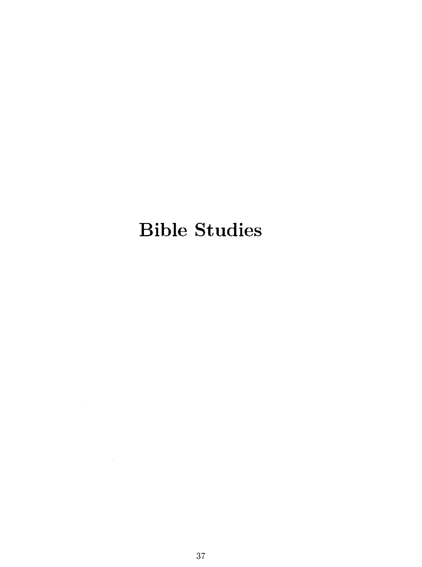# **Bible Studies**

 $\label{eq:2.1} \frac{1}{\sqrt{2}}\int_{\mathbb{R}^3}\frac{1}{\sqrt{2}}\left(\frac{1}{\sqrt{2}}\right)^2\frac{1}{\sqrt{2}}\left(\frac{1}{\sqrt{2}}\right)^2\frac{1}{\sqrt{2}}\left(\frac{1}{\sqrt{2}}\right)^2\frac{1}{\sqrt{2}}\left(\frac{1}{\sqrt{2}}\right)^2.$ 

 $\mathcal{L}^{\text{max}}_{\text{max}}$  and  $\mathcal{L}^{\text{max}}_{\text{max}}$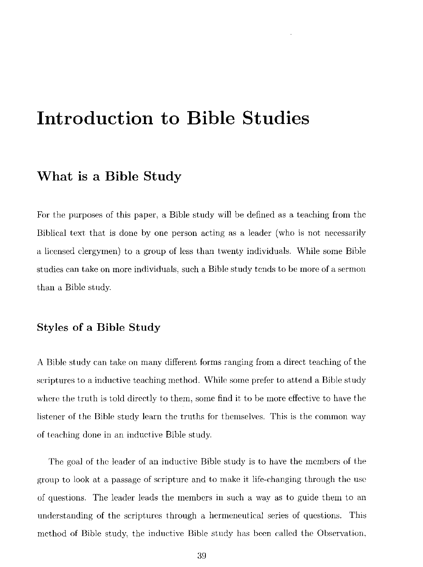## **Introduction to Bible Studies**

## **What is a Bible Study**

For the purposes of this paper, a Bible study will be defined as a teaching from the Biblical text that is done by one person acting as a leader (who is not necessarily a licensed clergymen) to a group of less than twenty individuals. While some Bible studies can take on more individuals, such a Bible study tends to be more of a sermon than a Bible study.

#### **Styles of a Bible Study**

A Bible study can take on many different forms ranging from a direct teaching of the scriptures to a inductive teaching method. While some prefer to attend a Bible study where the truth is told directly to them, some find it to be more effective to have the listener of the Bible study learn the truths for themselves. This is the common way of teaching done in an inductive Bible study.

The goal of the leader of an inductive Bible study is to have the members of the group to look at a passage of scripture and to make it life-changing through the usc of questions. The leader leads the members in such a way as to guide them to an understanding of the scriptures through a hermeneutical series of questions. This method of Bible study, the inductive Bible study has been called the Observation,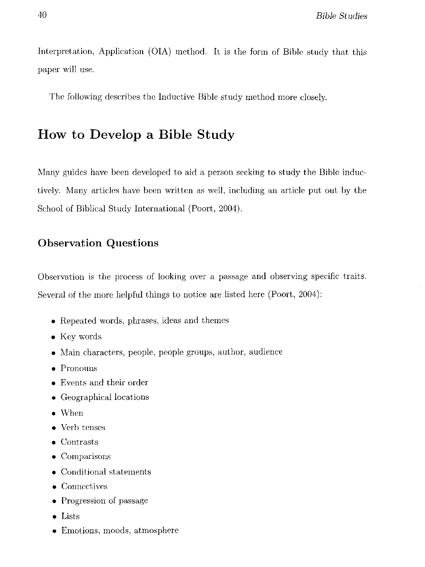Interpretation, Application (OIA) method. It is the form of Bible study that this paper will use.

The following describes the Inductive Bible study method more closely.

## **How to Develop a Bible Study**

Many guides have been developed to aid a person seeking to study the Bible inductively. Many articles have been written as well, including an article put out by the School of Biblical Study International (Poort, 2004).

#### **Observation Questions**

Observation is the process of looking over a passage and observing specific traits. Several of the more helpful things to notice are listed here (Poort, 2004):

- Repeated words, phrases, ideas and themes
- Key words
- Main characters, people, people groups, author, audience
- Pronouns
- Events and their order
- Geographical locations
- When
- Verb tenses
- $\bullet~$  Contrasts
- Comparisons
- Conditional statements
- Connectives
- Progression of passage
- Lists
- Emotions, moods, atmosphere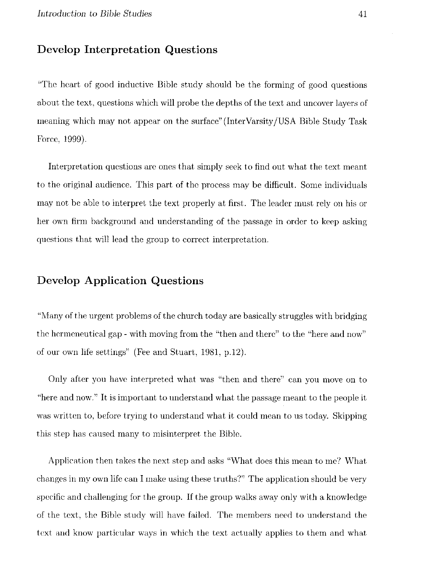#### **Develop Interpretation Questions**

"The heart of good inductive Bible study should be the forming of good questions about the text, questions which will probe the depths of the text and uncover layers of meaning which may not appear on the surface" (InterVarsity/USA Bible Study Task Force, 1999).

Interpretation questions are ones that simply seek to find out what the text meant to the original audience. This part of the process may be difficult. Some individuals may not be able to interpret the text properly at first. The leader must rely on his or her own firm background and understanding of the passage in order to keep asking questions that will lead the group to correct interpretation.

#### **Develop Application Questions**

"Many of the urgent problems of the church today are basically struggles with bridging the hermeneutical gap - with moving from the "then and there" to the "here and now" of our own life settings" (Fee and Stuart, 1981, p.12).

Only after you have interpreted what was "then and there" can you move on to "here and now." It is important to understand what the passage meant to the people it. was written to, before trying to understand what it could mean to us today. Skipping this step has caused many to misinterpret the Bible.

Application then takes the next step and asks "\Vhat does this mean to me'? What changes in my own life can I make using these truths?" The application should be very specific and challenging for the group. If the group walks away only with a knowledge of the text, the Bible study will have failed. The members need to understand the text and know particular ways in which the text actually applies to them and what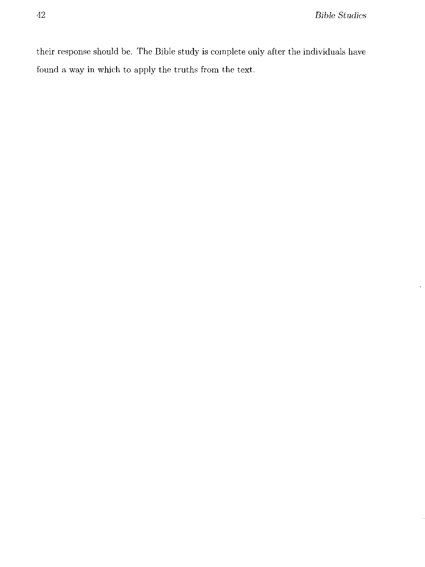their response should be. The Bible study is complete only after the individuals have found a way in which to apply the truths from the text.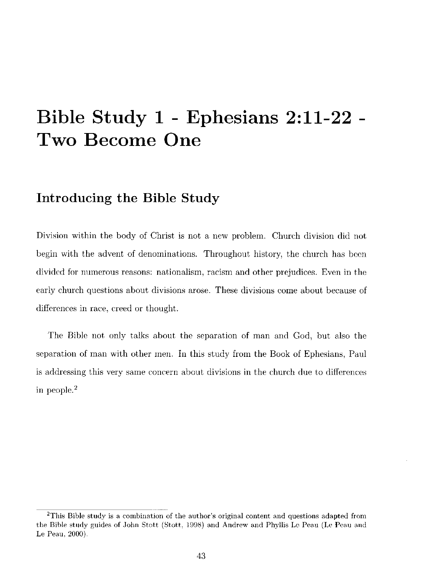# **Bible Study 1 - Ephesians 2:11-22 Two Become One**

## **Introducing the Bible Study**

Division within the body of Christ is not a new problem. Chureh division did not begin with the advent of denominations. Throughout history, the church has been divided for numerous reasons: nationalism, racism and other prejudices. Even in the early church questions about divisions arose. These divisions come about because of differences in race, creed or thought.

The Bible not only talks about the separation of man and God, but also the separation of man with other men. In this study from the Book of Ephesians, Paul is addressing this very same concern about divisions in the church due to differences in people. <sup>2</sup>

<sup>&</sup>lt;sup>2</sup>This Bible study is a combination of the author's original content and questions adapted from the Bible study guides of John Stott (Stott. 1998) and Andrew and Phyllis Le Peau (Le Peau and Le Peau, 2000),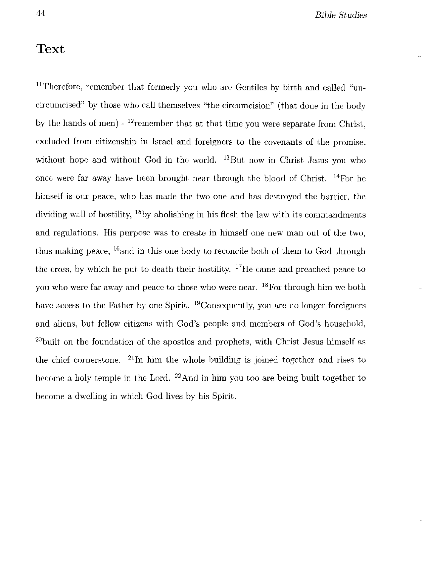### **Text**

<sup>11</sup>Therefore, remember that formerly you who are Gentiles by birth and called "uncircumcised" by those who call themselves "the circumcision" (that done in the body by the hands of men)  $-$  <sup>12</sup>remember that at that time you were separate from Christ, excluded from citizenship in Israel and foreigners to the covenants of the promise, without hope and without God in the world. <sup>13</sup>But now in Christ Jesus you who once were far away have been brought near through the blood of Christ. 14For he himself is our peace, who has made the two one and has destroyed the barrier, the dividing wall of hostility,  $15$  by abolishing in his flesh the law with its commandments and regulations. His purpose was to create in himself one new man out of the two, thus making peace,  $^{16}$  and in this one body to reconcile both of them to God through the cross, by which he put to death their hostility. 17He came and preached peace to you who were far away and peace to those who were near. 18For through him we both have access to the Father by one Spirit. <sup>19</sup>Consequently, you are no longer foreigners and aliens, but fellow citizens with God's people and members of God's household, <sup>20</sup> built on the foundation of the apostles and prophets, with Christ Jesus himself as the chief cornerstone. 21 In him the whole building is joined together and rises to become a holy temple in the Lord.  $22$ And in him you too are being built together to become a dwelling in which God lives by his Spirit.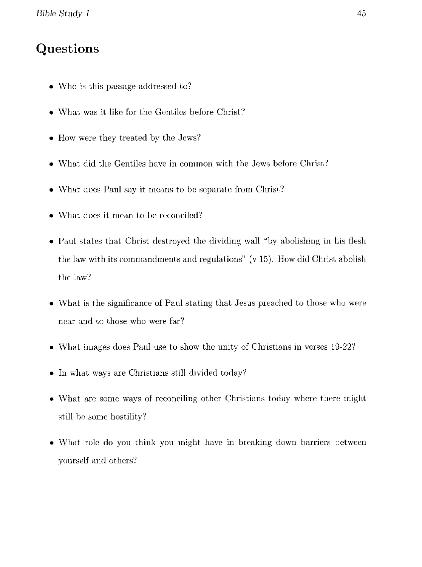## **Questions**

- Who is this passage addressed to?
- What was it like for the Gentiles before Christ?
- How were they treated by the Jews?
- What did the Gentiles have in common with the Jews before Christ?
- What does Paul say it means to be separate from Christ?
- What does it mean to be reconciled?
- Paul states that Christ destroyed the dividing wall "by abolishing in his flesh" the law with its commandments and regulations" (v 15). How did Christ abolish the law?
- What is the significance of Paul stating that Jesus preached to those who were near and to those who were far'?
- What images does Paul use to show the unity of Christians in verses 19-22?
- In what ways are Christians still divided today?
- What are some ways of reconciling other Christians today where there might still be some hostility?
- What role do you think you might have in breaking down barriers between yourself and others'?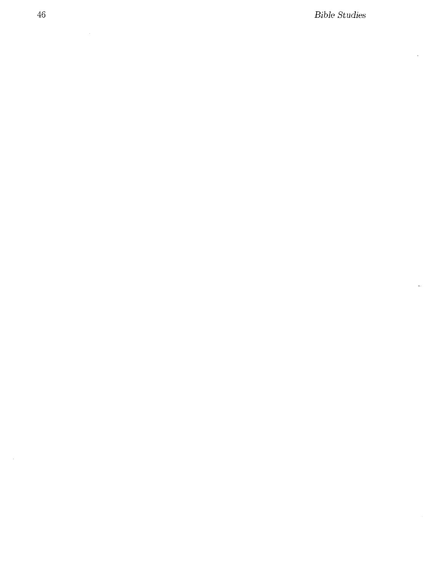46 *Bible Studies* 

 $\frac{1}{2}$ 

Ļ,

 $\sim$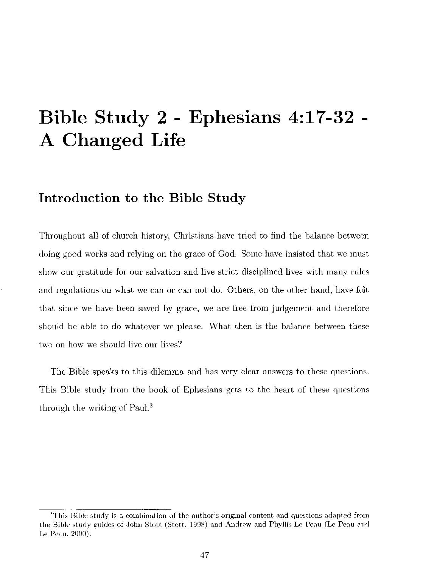# **Bible Study 2 - Ephesians 4: 17-32 A Changed Life**

## **Introduction to the Bible Study**

Throughout all of church history, Christians have tried to find the balance between doing good works and relying on the grace of God. Some have insisted that we must show our gratitude for our salvation and live strict disciplined lives with many rules and regulations on what we can or can not do. Others, on the other hand, have felt that since we have been saved by grace, we are free from judgement and therefore should be able to do whatever we please. What then is the balance between these two on how we should live our lives?

The Bible speaks to this dilemma and has very clear answers to these questions. This Bible study from the book of Ephesians gets to the heart of these questions through the writing of Paul.<sup>3</sup>

<sup>&</sup>lt;sup>3</sup>This Bible study is a combination of the author's original content and questions adapted from the Bible study guides of John Stott (Stott, 1998) and Andrew and Phyllis Le Peau (Le Peau and Le Peau.  $2000$ ).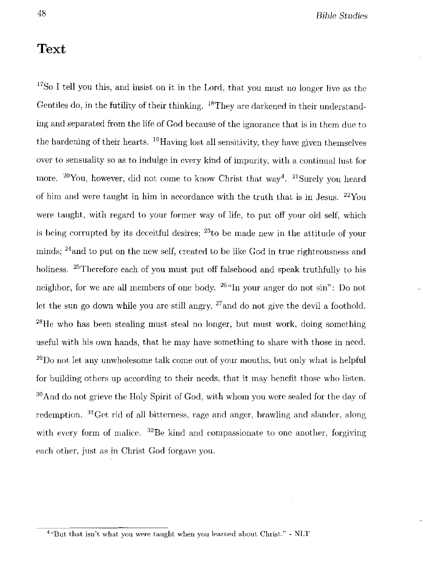### **Text**

17So I tell you this, and insist on **it** in the Lord, that you must no longer live as the Gentiles do, in the futility of their thinking. 18They are darkened in their understanding and separated from the life of God because of the ignorance that is in them due to the hardening of their hearts. 19Having lost all sensitivity, they have given themselves over to sensuality so as to indulge in every kind of impurity, with a continual lust for more. <sup>20</sup>You, however, did not come to know Christ that way<sup>4</sup>. <sup>21</sup>Surely you heard of him and were taught in him in accordance with the truth that is in Jesus. 22you were taught, with regard to your former way of life, to put off your old self, which is being corrupted by its deceitful desires;  $23$  to be made new in the attitude of your minds; 24 and to put on the new self, created to be like God in true righteousness and holiness. <sup>25</sup>Therefore each of you must put off falsehood and speak truthfully to his neighbor, for we are all members of one body. 26 "In your anger do not sin": Do not let the sun go down while you are still angry,  $27$  and do not give the devil a foothold. <sup>28</sup>He who has been stealing must steal no longer, but must work, doing something useful with his own hands, that he may have something to share with those in need. <sup>29</sup>Do not let any unwholesome talk come out of your mouths, but only what is helpful for building others up according to their needs, that it may benefit those who listen. <sup>30</sup> And do not grieve the Holy Spirit of God, with whom you were sealed for the day of redemption.  ${}^{31}$ Get rid of all bitterness, rage and anger, brawling and slander, along with every form of malice. <sup>32</sup>Be kind and compassionate to one another, forgiving each other, just as in Christ God forgave you.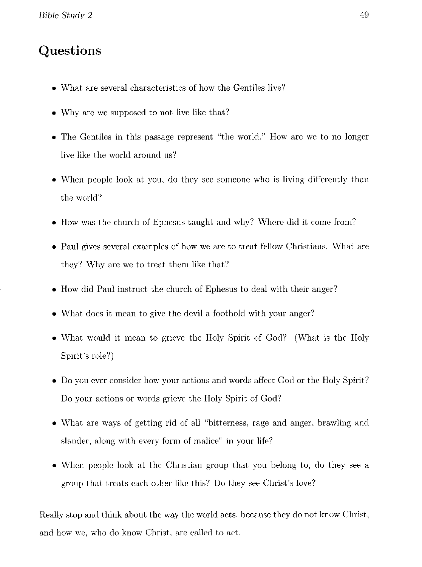## **Questions**

- What are several characteristics of how the Gentiles live?
- Why are we supposed to not live like that?
- The Gentiles in this passage represent "the world." How are we to no longer live like the world around us?
- When people look at you, do they see someone who is living differently than the world?
- How was the church of Ephesus taught and why? Where did it come from?
- Paul gives several examples of how we are to treat fellow Christians. What are they? Why are we to treat them like that?
- How did Paul instruct the church of Ephesus to deal with their anger?
- What does it mean to give the devil a foothold with your anger?
- What would it mean to grieve the Holy Spirit of God? (What is the Holy Spirit's role?)
- Do you ever consider how your actions and words affect God or the Holy Spirit? Do your actions or words grieve the Holy Spirit of God'?
- \Vhat are ways of getting rid of all "bitterness, rage and anger, brawling and slander, along with every form of malice" in your life'?
- When people look at the Christian group that you belong to, do they see a group that treats each other like this'! Do they see Christ's love'?

Really stop and think about the way the world acts, because they do not know Christ, and how we, who do know Christ, are called to act.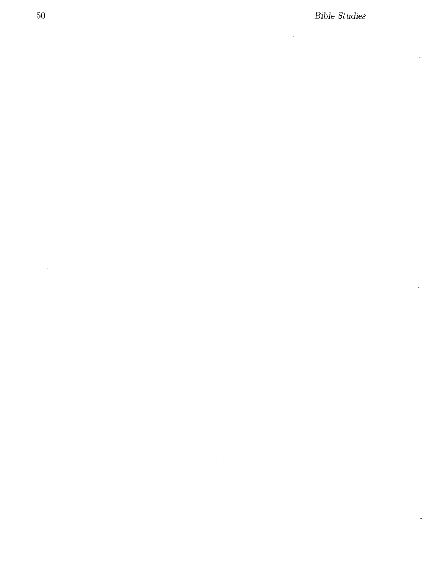$\bar{\beta}$ 

 $\downarrow$ 

 $\overline{a}$ 

 $\bar{\mathcal{A}}$ 

 $\mathcal{L}(\mathcal{A})$  .

 $\mathcal{L}(\mathcal{A})$  .

 $\mathcal{L}^{\text{max}}_{\text{max}}$  and  $\mathcal{L}^{\text{max}}_{\text{max}}$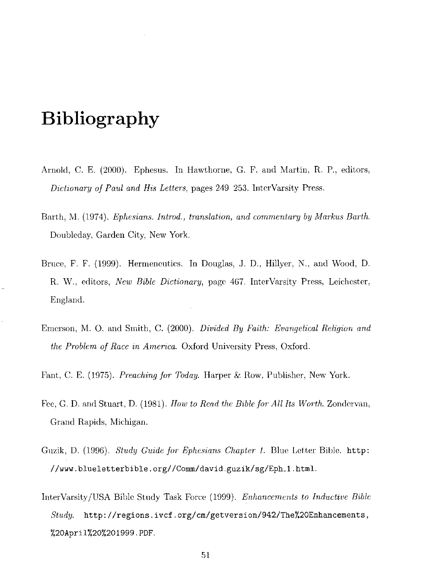# **Bibliography**

- Arnold, C. E. (2000). Ephesus. In Hawthorne, G. F. and Martin, R. P., editors, *Dictionary oj Paul and His Letters,* pages 249 253. InterVarsity Press.
- Barth, M. (1974). *Ephesians. Introd., translation, and commentary by Markus Barth.* Doubleday, Garden City, New York.
- Bruce, F. F. (1999). Hermeneutics. In Douglas, J. D., Hillyer, N., and Wood, D. R. W., editors, *New Bible Dictionary*, page 467. InterVarsity Press, Leichester, England.
- Emerson, M. O. and Smith, C. (2000). *Divided By Faith: Evangelical Religion and the Problem oj Race in America.* Oxford University Press, Oxford.

Fant, C. E. (1975). *Preaching jo'r Today.* Harper & Row, Publisher, New York.

- Fee, G. D. and Stuart, D. (1981). *How to Read the Bible for All Its Worth.* Zondervan, Grand Rapids, Michigan.
- Guzik, D. (1996). *Study Guide for Ephesians Chapter 1*. Blue Letter Bible. http: //www.bIueIetterbibIe.org//Comm/david\_guzik/sg/Eph\_l.html.
- InterVarsity/USA Bible Study Task Force (1999). *Enhancements to Inductive Bible Study.* http://regions . i vcf . org/ cm/getversion/942/The%20Enhancements, %20April%20%201999.PDF.